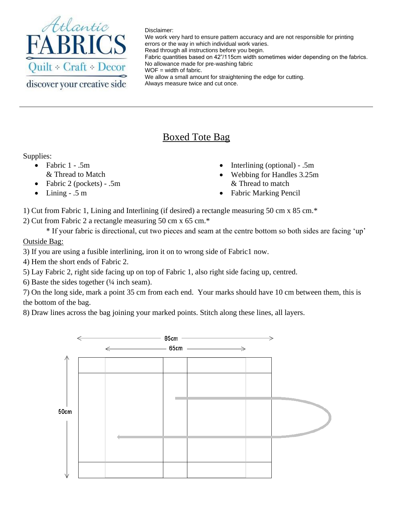

Disclaimer:

We work very hard to ensure pattern accuracy and are not responsible for printing errors or the way in which individual work varies. Read through all instructions before you begin. Fabric quantities based on 42"/115cm width sometimes wider depending on the fabrics. No allowance made for pre-washing fabric WOF = width of fabric. We allow a small amount for straightening the edge for cutting. Always measure twice and cut once.

## Boxed Tote Bag

## Supplies:

- Fabric  $1 .5m$ & Thread to Match
- Fabric 2 (pockets) .5m
- Lining  $.5$  m
- Interlining (optional) .5m
- Webbing for Handles 3.25m & Thread to match
- Fabric Marking Pencil

1) Cut from Fabric 1, Lining and Interlining (if desired) a rectangle measuring 50 cm x 85 cm.\*

2) Cut from Fabric 2 a rectangle measuring 50 cm x 65 cm.\*

\* If your fabric is directional, cut two pieces and seam at the centre bottom so both sides are facing 'up' Outside Bag:

3) If you are using a fusible interlining, iron it on to wrong side of Fabric1 now.

4) Hem the short ends of Fabric 2.

5) Lay Fabric 2, right side facing up on top of Fabric 1, also right side facing up, centred.

6) Baste the sides together  $(½$  inch seam).

7) On the long side, mark a point 35 cm from each end. Your marks should have 10 cm between them, this is the bottom of the bag.

8) Draw lines across the bag joining your marked points. Stitch along these lines, all layers.